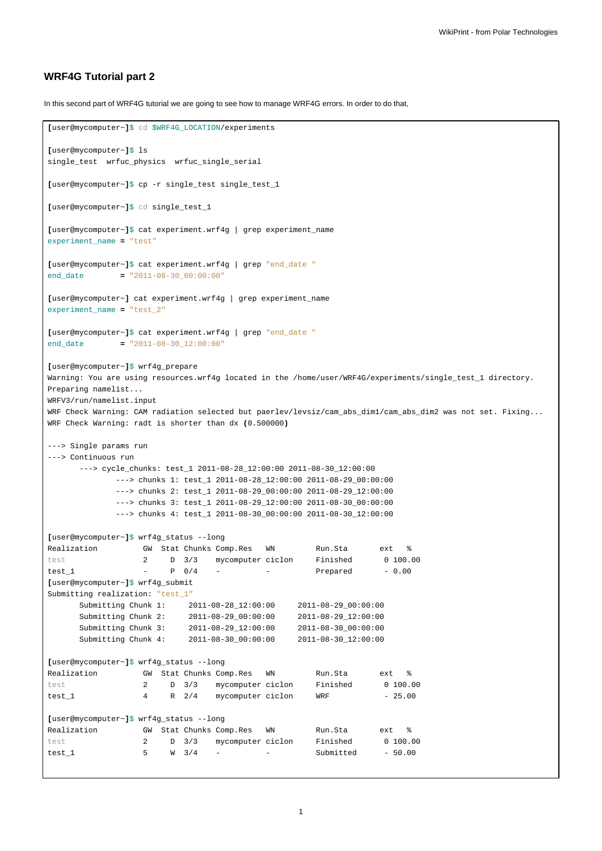## **WRF4G Tutorial part 2**

In this second part of WRF4G tutorial we are going to see how to manage WRF4G errors. In order to do that,

```
[user@mycomputer~]$ cd $WRF4G_LOCATION/experiments
[user@mycomputer~]$ ls
single_test wrfuc_physics wrfuc_single_serial
[user@mycomputer~]$ cp -r single_test single_test_1
[user@mycomputer~]$ cd single_test_1
[user@mycomputer~]$ cat experiment.wrf4g | grep experiment_name
experiment_name = "test"
[user@mycomputer~]$ cat experiment.wrf4g | grep "end_date "
end_date = "2011-08-30_00:00:00"
[user@mycomputer~] cat experiment.wrf4g | grep experiment_name
experiment_name = "test_2"
[user@mycomputer~]$ cat experiment.wrf4g | grep "end_date "
end_date = "2011-08-30_12:00:00"
[user@mycomputer~]$ wrf4g_prepare
Warning: You are using resources.wrf4g located in the /home/user/WRF4G/experiments/single_test_1 directory.
Preparing namelist...
WRFV3/run/namelist.input
WRF Check Warning: CAM radiation selected but paerlev/levsiz/cam_abs_dim1/cam_abs_dim2 was not set. Fixing...
WRF Check Warning: radt is shorter than dx (0.500000)
---> Single params run
---> Continuous run
      ---> cycle_chunks: test_1 2011-08-28_12:00:00 2011-08-30_12:00:00
            ---> chunks 1: test_1 2011-08-28_12:00:00 2011-08-29_00:00:00
             ---> chunks 2: test_1 2011-08-29_00:00:00 2011-08-29_12:00:00
             ---> chunks 3: test_1 2011-08-29_12:00:00 2011-08-30_00:00:00
             ---> chunks 4: test_1 2011-08-30_00:00:00 2011-08-30_12:00:00
[user@mycomputer~]$ wrf4g_status --long
Realization GW Stat Chunks Comp.Res WN Run.Sta ext \frac{1}{8}test 2 D 3/3 mycomputer ciclon Finished 0 100.00
test 1 - P 0/4 - - Prepared - 0.00[user@mycomputer~]$ wrf4g_submit
Submitting realization: "test_1"
      Submitting Chunk 1: 2011-08-28_12:00:00 2011-08-29_00:00:00
      Submitting Chunk 2: 2011-08-29_00:00:00 2011-08-29_12:00:00
     Submitting Chunk 3: 2011-08-29_12:00:00 2011-08-30_00:00:00
     Submitting Chunk 4: 2011-08-30_00:00:00 2011-08-30_12:00:00
[user@mycomputer~]$ wrf4g_status --long
Realization GW Stat Chunks Comp.Res WN Run.Sta ext %
test 2 D 3/3 mycomputer ciclon Finished 0 100.00
test\_1 4 R 2/4 mycomputer ciclon WRF - 25.00
[user@mycomputer~]$ wrf4g_status --long
Realization GW Stat Chunks Comp.Res WN Run.Sta ext \text{\$}test 2 D 3/3 mycomputer ciclon Finished 0 100.00
test_1 5 W 3/4 - - - Submitted - 50.00
```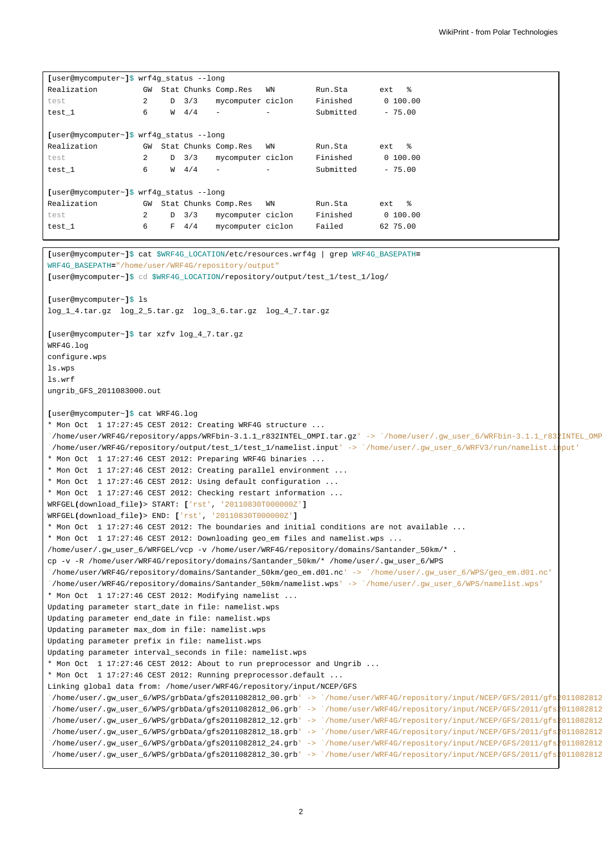| [user@mycomputer~]\$ wrf4g_status --long |                |   |               |                          |    |           |            |
|------------------------------------------|----------------|---|---------------|--------------------------|----|-----------|------------|
| Realization                              | GW             |   |               | Stat Chunks Comp.Res     | WN | Run.Sta   | ext %      |
| test                                     | 2              |   | $D \quad 3/3$ | mycomputer ciclon        |    | Finished  | 0, 100, 00 |
| test 1                                   | 6              |   | $W = 4/4$     | $\overline{\phantom{a}}$ |    | Submitted | $-75.00$   |
|                                          |                |   |               |                          |    |           |            |
| [user@mycomputer~]\$ wrf4q status --long |                |   |               |                          |    |           |            |
| Realization                              | GW             |   |               | Stat Chunks Comp.Res     | WN | Run.Sta   | $ext$ $%$  |
| test                                     | $\overline{a}$ |   | $D \quad 3/3$ | mycomputer ciclon        |    | Finished  | 0, 100, 00 |
| test 1                                   | 6              |   | $W = 4/4$     | $\overline{\phantom{a}}$ |    | Submitted | $-75.00$   |
|                                          |                |   |               |                          |    |           |            |
| [user@mycomputer~]\$ wrf4q status --lonq |                |   |               |                          |    |           |            |
| Realization                              | GW             |   |               | Stat Chunks Comp.Res     | WN | Run.Sta   | ext %      |
| test                                     | 2              | D | 3/3           | mycomputer ciclon        |    | Finished  | 0, 100, 00 |
| test 1                                   | 6              | F | 4/4           | mycomputer ciclon        |    | Failed    | 62 75.00   |

```
[user@mycomputer~]$ cat $WRF4G_LOCATION/etc/resources.wrf4g | grep WRF4G_BASEPATH=
WRF4G_BASEPATH="/home/user/WRF4G/repository/output"
[user@mycomputer~]$ cd $WRF4G_LOCATION/repository/output/test_1/test_1/log/
[user@mycomputer~]$ ls
log_1_4.tar.gz log_2_5.tar.gz log_3_6.tar.gz log_4_7.tar.gz
[user@mycomputer~]$ tar xzfv log_4_7.tar.gz
WRF4G.log
configure.wps
ls.wps
ls.wrf
ungrib_GFS_2011083000.out
[user@mycomputer~]$ cat WRF4G.log
* Mon Oct 1 17:27:45 CEST 2012: Creating WRF4G structure ...
`/home/user/WRF4G/repository/apps/WRFbin-3.1.1_r832INTEL_OMPI.tar.gz' -> `/home/user/.gw_user_6/WRFbin-3.1.1_r832INTEL_OMPI.tar.gz'
`/home/user/WRF4G/repository/output/test_1/test_1/namelist.input' -> `/home/user/.gw_user_6/WRFV3/run/namelist.input'
* Mon Oct 1 17:27:46 CEST 2012: Preparing WRF4G binaries ...
* Mon Oct 1 17:27:46 CEST 2012: Creating parallel environment
* Mon Oct 1 17:27:46 CEST 2012: Using default configuration ...
* Mon Oct 1 17:27:46 CEST 2012: Checking restart information ...
WRFGEL(download_file)> START: ['rst', '20110830T000000Z']
WRFGEL(download_file)> END: ['rst', '20110830T000000Z']
* Mon Oct 1 17:27:46 CEST 2012: The boundaries and initial conditions are not available ...
* Mon Oct 1 17:27:46 CEST 2012: Downloading geo_em files and namelist.wps ...
/home/user/.gw_user_6/WRFGEL/vcp -v /home/user/WRF4G/repository/domains/Santander_50km/* .
cp -v -R /home/user/WRF4G/repository/domains/Santander_50km/* /home/user/.gw_user_6/WPS
`/home/user/WRF4G/repository/domains/Santander_50km/geo_em.d01.nc' -> `/home/user/.gw_user_6/WPS/geo_em.d01.nc'
`/home/user/WRF4G/repository/domains/Santander_50km/namelist.wps' -> `/home/user/.gw_user_6/WPS/namelist.wps'
* Mon Oct 1 17:27:46 CEST 2012: Modifying namelist ...
Updating parameter start_date in file: namelist.wps
Updating parameter end_date in file: namelist.wps
Updating parameter max_dom in file: namelist.wps
Updating parameter prefix in file: namelist.wps
Updating parameter interval_seconds in file: namelist.wps
* Mon Oct 1 17:27:46 CEST 2012: About to run preprocessor and Ungrib ...
* Mon Oct 1 17:27:46 CEST 2012: Running preprocessor.default ...
Linking global data from: /home/user/WRF4G/repository/input/NCEP/GFS
`/home/user/.gw_user_6/WPS/grbData/gfs2011082812_00.grb' -> `/home/user/WRF4G/repository/input/NCEP/GFS/2011/gfs2011082812_00.grb'
`/home/user/.gw_user_6/WPS/grbData/gfs2011082812_06.grb' -> `/home/user/WRF4G/repository/input/NCEP/GFS/2011/gfs2011082812_06.grb'
 `/home/user/.gw_user_6/WPS/grbData/gfs2011082812_12.grb' -> `/home/user/WRF4G/repository/input/NCEP/GFS/2011/gfs2011082812_12.grb'
 `/home/user/.gw_user_6/WPS/grbData/gfs2011082812_18.grb' -> `/home/user/WRF4G/repository/input/NCEP/GFS/2011/gfs2011082812_18.grb'
 `/home/user/.gw_user_6/WPS/grbData/gfs2011082812_24.grb' -> `/home/user/WRF4G/repository/input/NCEP/GFS/2011/gfs2011082812_24.grb'
 `/home/user/.gw_user_6/WPS/grbData/gfs2011082812_30.grb' -> `/home/user/WRF4G/repository/input/NCEP/GFS/2011/gfs2011082812_30.grb'
```